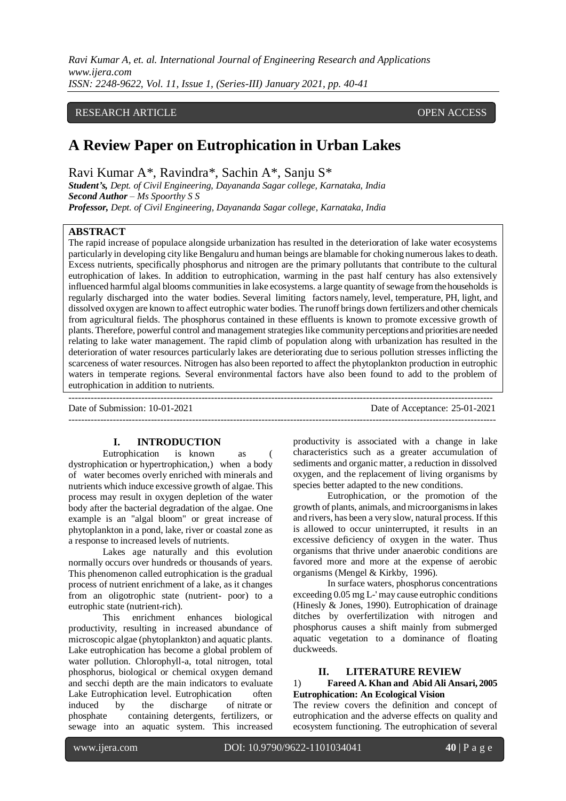*Ravi Kumar A, et. al. International Journal of Engineering Research and Applications www.ijera.com ISSN: 2248-9622, Vol. 11, Issue 1, (Series-III) January 2021, pp. 40-41*

## RESEARCH ARTICLE **CONSERVERS** OPEN ACCESS

# **A Review Paper on Eutrophication in Urban Lakes**

Ravi Kumar A\*, Ravindra\*, Sachin A\*, Sanju S\*

*Student's, Dept. of Civil Engineering, Dayananda Sagar college, Karnataka, India Second Author – Ms Spoorthy S S Professor, Dept. of Civil Engineering, Dayananda Sagar college, Karnataka, India*

### **ABSTRACT**

The rapid increase of populace alongside urbanization has resulted in the deterioration of lake water ecosystems particularly in developing city like Bengaluru and human beings are blamable for choking numerous lakes to death. Excess nutrients, specifically phosphorus and nitrogen are the primary pollutants that contribute to the cultural eutrophication of lakes. In addition to eutrophication, warming in the past half century has also extensively influenced harmful algal blooms communities in lake ecosystems. a large quantity of sewage from the households is regularly discharged into the water bodies. Several limiting factors namely, level, temperature, PH, light, and dissolved oxygen are known to affect eutrophic water bodies. The runoff brings down fertilizers and other chemicals from agricultural fields. The phosphorus contained in these effluents is known to promote excessive growth of plants. Therefore, powerful control and management strategies like community perceptions and priorities are needed relating to lake water management. The rapid climb of population along with urbanization has resulted in the deterioration of water resources particularly lakes are deteriorating due to serious pollution stresses inflicting the scarceness of water resources. Nitrogen has also been reported to affect the phytoplankton production in eutrophic waters in temperate regions. Several environmental factors have also been found to add to the problem of eutrophication in addition to nutrients.

--------------------------------------------------------------------------------------------------------------------------------------

Date of Submission: 10-01-2021 Date of Acceptance: 25-01-2021

---------------------------------------------------------------------------------------------------------------------------------------

#### **I. INTRODUCTION**

Eutrophication is known as ( dystrophication or hypertrophication,) when a body of water becomes overly enriched with minerals and nutrients which induce excessive growth of algae. This process may result in oxygen depletion of the water body after the bacterial degradation of the algae. One example is an "algal bloom" or great increase of phytoplankton in a pond, lake, river or coastal zone as a response to increased levels of nutrients.

Lakes age naturally and this evolution normally occurs over hundreds or thousands of years. This phenomenon called eutrophication is the gradual process of nutrient enrichment of a lake, as it changes from an oligotrophic state (nutrient- poor) to a eutrophic state (nutrient-rich).

This enrichment enhances biological productivity, resulting in increased abundance of microscopic algae (phytoplankton) and aquatic plants. Lake eutrophication has become a global problem of water pollution. Chlorophyll-a, total nitrogen, total phosphorus, biological or chemical oxygen demand and secchi depth are the main indicators to evaluate Lake Eutrophication level. Eutrophication often induced by the discharge of nitrate or phosphate containing detergents, fertilizers, or sewage into an aquatic system. This increased

productivity is associated with a change in lake characteristics such as a greater accumulation of sediments and organic matter, a reduction in dissolved oxygen, and the replacement of living organisms by species better adapted to the new conditions.

Eutrophication, or the promotion of the growth of plants, animals, and microorganisms in lakes and rivers, has been a very slow, natural process. If this is allowed to occur uninterrupted, it results in an excessive deficiency of oxygen in the water. Thus organisms that thrive under anaerobic conditions are favored more and more at the expense of aerobic organisms (Mengel & Kirkby, 1996).

In surface waters, phosphorus concentrations exceeding 0.05 mg L-' may cause eutrophic conditions (Hinesly & Jones, 1990). Eutrophication of drainage ditches by overfertilization with nitrogen and phosphorus causes a shift mainly from submerged aquatic vegetation to a dominance of floating duckweeds.

## **II. LITERATURE REVIEW**

#### 1) **Fareed A. Khan and Abid Ali Ansari, 2005 Eutrophication: An Ecological Vision**

The review covers the definition and concept of eutrophication and the adverse effects on quality and ecosystem functioning. The eutrophication of several